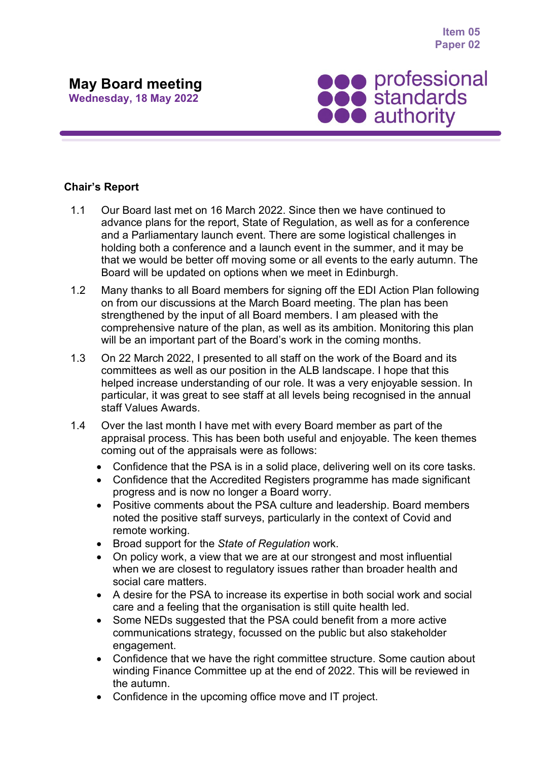**Item 05 Paper 02**

## **May Board meeting**

**Wednesday, 18 May 2022**



## **Chair's Report**

- 1.1 Our Board last met on 16 March 2022. Since then we have continued to advance plans for the report, State of Regulation, as well as for a conference and a Parliamentary launch event. There are some logistical challenges in holding both a conference and a launch event in the summer, and it may be that we would be better off moving some or all events to the early autumn. The Board will be updated on options when we meet in Edinburgh.
- 1.2 Many thanks to all Board members for signing off the EDI Action Plan following on from our discussions at the March Board meeting. The plan has been strengthened by the input of all Board members. I am pleased with the comprehensive nature of the plan, as well as its ambition. Monitoring this plan will be an important part of the Board's work in the coming months.
- 1.3 On 22 March 2022, I presented to all staff on the work of the Board and its committees as well as our position in the ALB landscape. I hope that this helped increase understanding of our role. It was a very enjoyable session. In particular, it was great to see staff at all levels being recognised in the annual staff Values Awards.
- 1.4 Over the last month I have met with every Board member as part of the appraisal process. This has been both useful and enjoyable. The keen themes coming out of the appraisals were as follows:
	- Confidence that the PSA is in a solid place, delivering well on its core tasks.
	- Confidence that the Accredited Registers programme has made significant progress and is now no longer a Board worry.
	- Positive comments about the PSA culture and leadership. Board members noted the positive staff surveys, particularly in the context of Covid and remote working.
	- Broad support for the *State of Regulation* work.
	- On policy work, a view that we are at our strongest and most influential when we are closest to regulatory issues rather than broader health and social care matters.
	- A desire for the PSA to increase its expertise in both social work and social care and a feeling that the organisation is still quite health led.
	- Some NEDs suggested that the PSA could benefit from a more active communications strategy, focussed on the public but also stakeholder engagement.
	- Confidence that we have the right committee structure. Some caution about winding Finance Committee up at the end of 2022. This will be reviewed in the autumn.
	- Confidence in the upcoming office move and IT project.